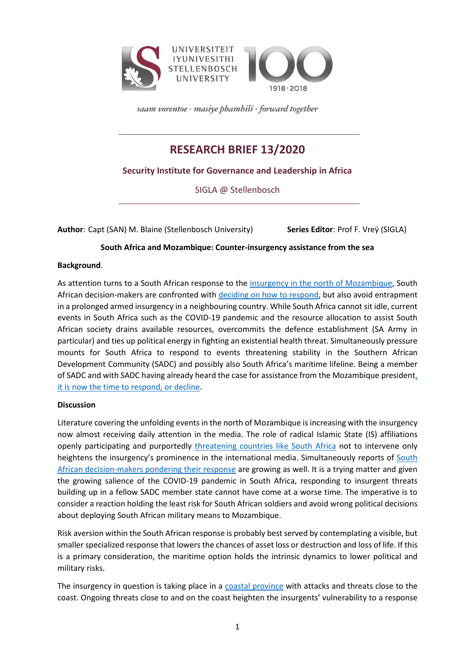

saam vorentoe · masiye phambili · forward together

# **RESEARCH BRIEF 13/2020**

## **Security Institute for Governance and Leadership in Africa**

SIGLA @ Stellenbosch

**Author**: Capt (SAN) M. Blaine (Stellenbosch University) **Series Editor**: Prof F. Vreÿ (SIGLA)

**South Africa and Mozambique: Counter-insurgency assistance from the sea**

### **Background**.

As attention turns to a South African response to the insurgency [in the north of Mozambique,](https://www.iol.co.za/news/opinion/crisis-in-northern-mozambique-is-now-an-urgent-matter-for-sadc-50677235) South African decision-makers are confronted with [deciding on how to respond,](https://www.news24.com/news24/SouthAfrica/News/isis-questions-about-sandf-deployment-in-mozambique-unanswered-20200709) but also avoid entrapment in a prolonged armed insurgency in a neighbouring country. While South Africa cannot sit idle, current events in South Africa such as the COVID-19 pandemic and the resource allocation to assist South African society drains available resources, overcommits the defence establishment (SA Army in particular) and ties up political energy in fighting an existential health threat. Simultaneously pressure mounts for South Africa to respond to events threatening stability in the Southern African Development Community (SADC) and possibly also South Africa's maritime lifeline. Being a member of SADC and with SADC having already heard the case for assistance from the Mozambique presiden[t,](https://www.iol.co.za/news/opinion/time-is-against-mozambique-and-the-sadc-in-war-against-islamic-state-50869653)  [it is now the time to respond, or decline.](https://www.iol.co.za/news/opinion/time-is-against-mozambique-and-the-sadc-in-war-against-islamic-state-50869653)

#### **Discussion**

Literature covering the unfolding events in the north of Mozambique is increasing with the insurgency now almost receiving daily attention in the media. The role of radical Islamic State (IS) affiliations openly participating and purportedly [threatening countries like South Africa](https://www.thesouthafrican.com/news/islamic-state-threat-south-africa-what-said-mozambique-isis-latest/) not to intervene only heightens the insurgency's prominence in the international media. Simultaneously reports of [South](https://www.defenceweb.co.za/featured/time-for-south-africa-and-sadc-to-stand-up-for-mozambique/)  [African decision-makers pondering their response](https://www.defenceweb.co.za/featured/time-for-south-africa-and-sadc-to-stand-up-for-mozambique/) are growing as well. It is a trying matter and given the growing salience of the COVID-19 pandemic in South Africa, responding to insurgent threats building up in a fellow SADC member state cannot have come at a worse time. The imperative is to consider a reaction holding the least risk for South African soldiers and avoid wrong political decisions about deploying South African military means to Mozambique.

Risk aversion within the South African response is probably best served by contemplating a visible, but smaller specialized response that lowers the chances of asset loss or destruction and loss of life. If this is a primary consideration, the maritime option holds the intrinsic dynamics to lower political and military risks.

The insurgency in question is taking place in a [coastal province](https://www.dailymaverick.co.za/article/2020-03-26-islamist-insurgents-capture-second-town-in-northern-mozambique-within-48-hours/) with attacks and threats close to the coast. Ongoing threats close to and on the coast heighten the insurgents' vulnerability to a response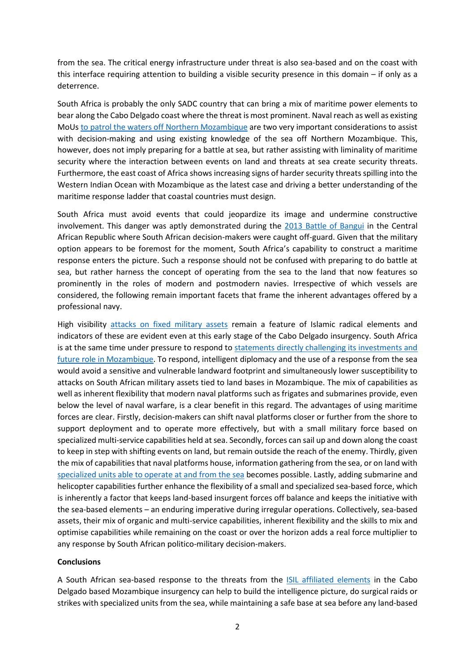from the sea. The critical energy infrastructure under threat is also sea-based and on the coast with this interface requiring attention to building a visible security presence in this domain – if only as a deterrence.

South Africa is probably the only SADC country that can bring a mix of maritime power elements to bear along the Cabo Delgado coast where the threat is most prominent. Naval reach as well as existing MoUs [to patrol the waters off](http://www.dod.mil.za/operations/international/operation_copper.htm) Northern Mozambique are two very important considerations to assist with decision-making and using existing knowledge of the sea off Northern Mozambique. This, however, does not imply preparing for a battle at sea, but rather assisting with liminality of maritime security where the interaction between events on land and threats at sea create security threats. Furthermore, the east coast of Africa shows increasing signs of harder security threats spilling into the Western Indian Ocean with Mozambique as the latest case and driving a better understanding of the maritime response ladder that coastal countries must design.

South Africa must avoid events that could jeopardize its image and undermine constructive involvement. This danger was aptly demonstrated during the [2013 Battle of Bangui](https://www.warbooks.co.za/products/the-battle-in-bangui-the-untold-inside-story-helmoed-romer-heitman?variant=34801915068572) in the Central African Republic where South African decision-makers were caught off-guard. Given that the military option appears to be foremost for the moment, South Africa's capability to construct a maritime response enters the picture. Such a response should not be confused with preparing to do battle at sea, but rather harness the concept of operating from the sea to the land that now features so prominently in the roles of modern and postmodern navies. Irrespective of which vessels are considered, the following remain important facets that frame the inherent advantages offered by a professional navy.

High visibility [attacks on fixed military assets](https://tuskerdaily.com/breaking-islamic-terrorist-group-attacks-military-base-used-by-u-s-forces-in-africa/) remain a feature of Islamic radical elements and indicators of these are evident even at this early stage of the Cabo Delgado insurgency. South Africa is at the same time under pressure to respond to statements directly challenging its investments and [future role in Mozambique.](https://www.biznews.com/global-investing/2020/07/05/islamic-state-mozambique) To respond, intelligent diplomacy and the use of a response from the sea would avoid a sensitive and vulnerable landward footprint and simultaneously lower susceptibility to attacks on South African military assets tied to land bases in Mozambique. The mix of capabilities as well as inherent flexibility that modern naval platforms such as frigates and submarines provide, even below the level of naval warfare, is a clear benefit in this regard. The advantages of using maritime forces are clear. Firstly, decision-makers can shift naval platforms closer or further from the shore to support deployment and to operate more effectively, but with a small military force based on specialized multi-service capabilities held at sea. Secondly, forces can sail up and down along the coast to keep in step with shifting events on land, but remain outside the reach of the enemy. Thirdly, given the mix of capabilities that naval platforms house, information gathering from the sea, or on land with [specialized units able to operate at and from the sea](https://www.defenceweb.co.za/sa-defence/sa-defence-sa-defence/three-sa-navy-platforms-assigned-to-exercise-oxide/) becomes possible. Lastly, adding submarine and helicopter capabilities further enhance the flexibility of a small and specialized sea-based force, which is inherently a factor that keeps land-based insurgent forces off balance and keeps the initiative with the sea-based elements – an enduring imperative during irregular operations. Collectively, sea-based assets, their mix of organic and multi-service capabilities, inherent flexibility and the skills to mix and optimise capabilities while remaining on the coast or over the horizon adds a real force multiplier to any response by South African politico-military decision-makers.

#### **Conclusions**

A South African sea-based response to the threats from the [ISIL affiliated elements](https://www.erassociates.co.za/2020/07/09/alert-129-islamic-state-warns-south-africa-against-mozambique-involvement/) in the Cabo Delgado based Mozambique insurgency can help to build the intelligence picture, do surgical raids or strikes with specialized units from the sea, while maintaining a safe base at sea before any land-based